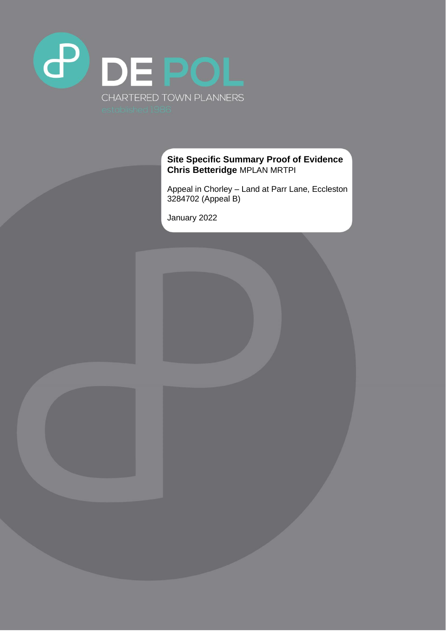

## **Site Specific Summary Proof of Evidence Chris Betteridge** MPLAN MRTPI

Appeal in Chorley – Land at Parr Lane, Eccleston 3284702 (Appeal B)

January 2022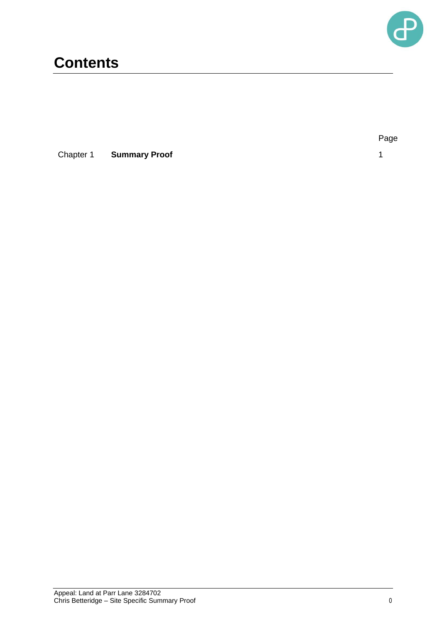

## **Contents**

**Chapter 1 Summary Proof** 1 1

Page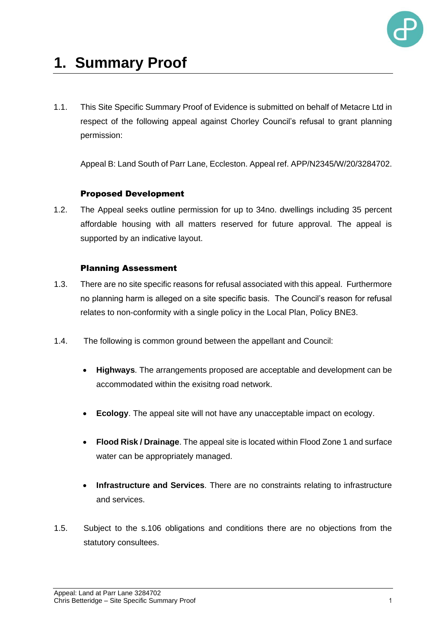

# **1. Summary Proof**

1.1. This Site Specific Summary Proof of Evidence is submitted on behalf of Metacre Ltd in respect of the following appeal against Chorley Council's refusal to grant planning permission:

Appeal B: Land South of Parr Lane, Eccleston. Appeal ref. APP/N2345/W/20/3284702.

## Proposed Development

1.2. The Appeal seeks outline permission for up to 34no. dwellings including 35 percent affordable housing with all matters reserved for future approval. The appeal is supported by an indicative layout.

## Planning Assessment

- 1.3. There are no site specific reasons for refusal associated with this appeal. Furthermore no planning harm is alleged on a site specific basis. The Council's reason for refusal relates to non-conformity with a single policy in the Local Plan, Policy BNE3.
- 1.4. The following is common ground between the appellant and Council:
	- **Highways**. The arrangements proposed are acceptable and development can be accommodated within the exisitng road network.
	- **Ecology**. The appeal site will not have any unacceptable impact on ecology.
	- **Flood Risk / Drainage**. The appeal site is located within Flood Zone 1 and surface water can be appropriately managed.
	- **Infrastructure and Services**. There are no constraints relating to infrastructure and services.
- 1.5. Subject to the s.106 obligations and conditions there are no objections from the statutory consultees.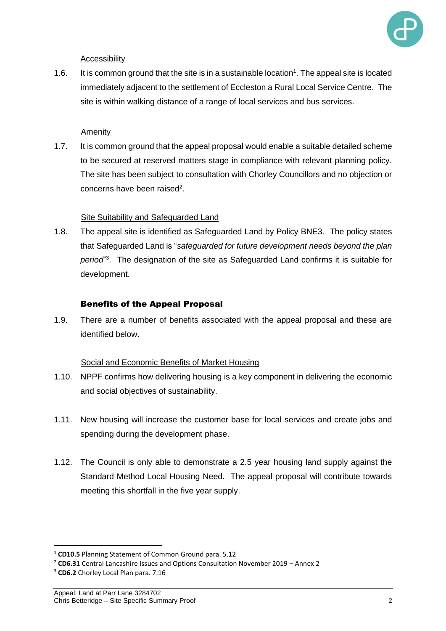

#### **Accessibility**

1.6. It is common ground that the site is in a sustainable location<sup>1</sup>. The appeal site is located immediately adjacent to the settlement of Eccleston a Rural Local Service Centre. The site is within walking distance of a range of local services and bus services.

#### Amenity

1.7. It is common ground that the appeal proposal would enable a suitable detailed scheme to be secured at reserved matters stage in compliance with relevant planning policy. The site has been subject to consultation with Chorley Councillors and no objection or concerns have been raised<sup>2</sup>.

#### Site Suitability and Safeguarded Land

1.8. The appeal site is identified as Safeguarded Land by Policy BNE3. The policy states that Safeguarded Land is "*safeguarded for future development needs beyond the plan period*" 3 . The designation of the site as Safeguarded Land confirms it is suitable for development.

#### Benefits of the Appeal Proposal

1.9. There are a number of benefits associated with the appeal proposal and these are identified below.

#### Social and Economic Benefits of Market Housing

- 1.10. NPPF confirms how delivering housing is a key component in delivering the economic and social objectives of sustainability.
- 1.11. New housing will increase the customer base for local services and create jobs and spending during the development phase.
- 1.12. The Council is only able to demonstrate a 2.5 year housing land supply against the Standard Method Local Housing Need. The appeal proposal will contribute towards meeting this shortfall in the five year supply.

<sup>1</sup> **CD10.5** Planning Statement of Common Ground para. 5.12

<sup>2</sup> **CD6.31** Central Lancashire Issues and Options Consultation November 2019 – Annex 2

<sup>3</sup> **CD6.2** Chorley Local Plan para. 7.16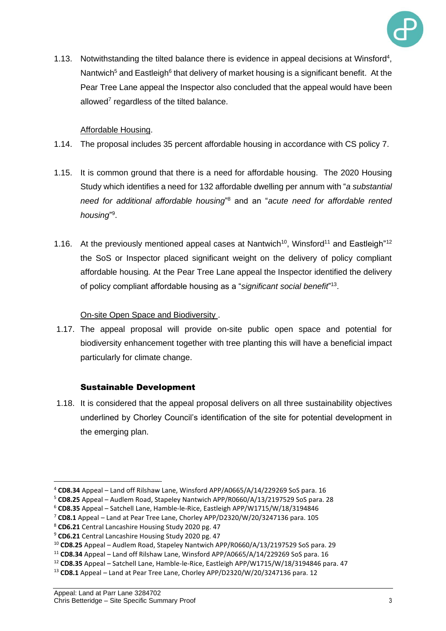

1.13. Notwithstanding the tilted balance there is evidence in appeal decisions at Winsford<sup>4</sup>, Nantwich<sup>5</sup> and Eastleigh<sup>6</sup> that delivery of market housing is a significant benefit. At the Pear Tree Lane appeal the Inspector also concluded that the appeal would have been allowed<sup>7</sup> regardless of the tilted balance.

## Affordable Housing.

- 1.14. The proposal includes 35 percent affordable housing in accordance with CS policy 7.
- 1.15. It is common ground that there is a need for affordable housing. The 2020 Housing Study which identifies a need for 132 affordable dwelling per annum with "*a substantial need for additional affordable housing*" <sup>8</sup> and an "*acute need for affordable rented*  housing"<sup>9</sup>.
- 1.16. At the previously mentioned appeal cases at Nantwich<sup>10</sup>, Winsford<sup>11</sup> and Eastleigh<sup>"12</sup> the SoS or Inspector placed significant weight on the delivery of policy compliant affordable housing*.* At the Pear Tree Lane appeal the Inspector identified the delivery of policy compliant affordable housing as a "*significant social benefit*" 13 .

## On-site Open Space and Biodiversity .

1.17. The appeal proposal will provide on-site public open space and potential for biodiversity enhancement together with tree planting this will have a beneficial impact particularly for climate change.

## Sustainable Development

1.18. It is considered that the appeal proposal delivers on all three sustainability objectives underlined by Chorley Council's identification of the site for potential development in the emerging plan.

<sup>4</sup> **CD8.34** Appeal – Land off Rilshaw Lane, Winsford APP/A0665/A/14/229269 SoS para. 16

<sup>5</sup> **CD8.25** Appeal – Audlem Road, Stapeley Nantwich APP/R0660/A/13/2197529 SoS para. 28

<sup>6</sup> **CD8.35** Appeal – Satchell Lane, Hamble-le-Rice, Eastleigh APP/W1715/W/18/3194846

<sup>7</sup> **CD8.1** Appeal – Land at Pear Tree Lane, Chorley APP/D2320/W/20/3247136 para. 105

<sup>8</sup> **CD6.21** Central Lancashire Housing Study 2020 pg. 47

<sup>9</sup> **CD6.21** Central Lancashire Housing Study 2020 pg. 47

<sup>10</sup> **CD8.25** Appeal – Audlem Road, Stapeley Nantwich APP/R0660/A/13/2197529 SoS para. 29

<sup>11</sup> **CD8.34** Appeal – Land off Rilshaw Lane, Winsford APP/A0665/A/14/229269 SoS para. 16

<sup>12</sup> **CD8.35** Appeal – Satchell Lane, Hamble-le-Rice, Eastleigh APP/W1715/W/18/3194846 para. 47

<sup>13</sup> **CD8.1** Appeal – Land at Pear Tree Lane, Chorley APP/D2320/W/20/3247136 para. 12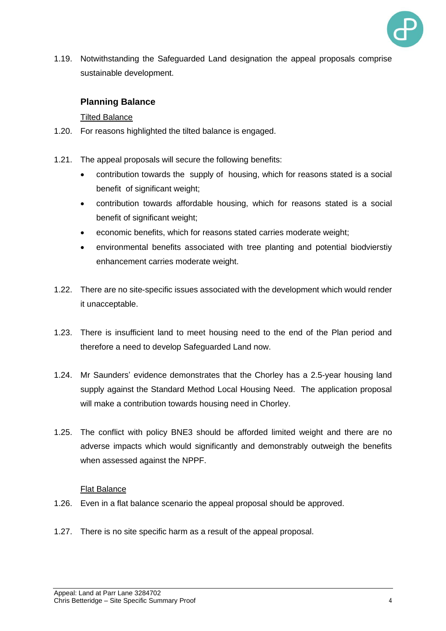

1.19. Notwithstanding the Safeguarded Land designation the appeal proposals comprise sustainable development.

## **Planning Balance**

## Tilted Balance

- 1.20. For reasons highlighted the tilted balance is engaged.
- 1.21. The appeal proposals will secure the following benefits:
	- contribution towards the supply of housing, which for reasons stated is a social benefit of significant weight;
	- contribution towards affordable housing, which for reasons stated is a social benefit of significant weight;
	- economic benefits, which for reasons stated carries moderate weight;
	- environmental benefits associated with tree planting and potential biodvierstiy enhancement carries moderate weight.
- 1.22. There are no site-specific issues associated with the development which would render it unacceptable.
- 1.23. There is insufficient land to meet housing need to the end of the Plan period and therefore a need to develop Safeguarded Land now.
- 1.24. Mr Saunders' evidence demonstrates that the Chorley has a 2.5-year housing land supply against the Standard Method Local Housing Need. The application proposal will make a contribution towards housing need in Chorley.
- 1.25. The conflict with policy BNE3 should be afforded limited weight and there are no adverse impacts which would significantly and demonstrably outweigh the benefits when assessed against the NPPF.

#### Flat Balance

- 1.26. Even in a flat balance scenario the appeal proposal should be approved.
- 1.27. There is no site specific harm as a result of the appeal proposal.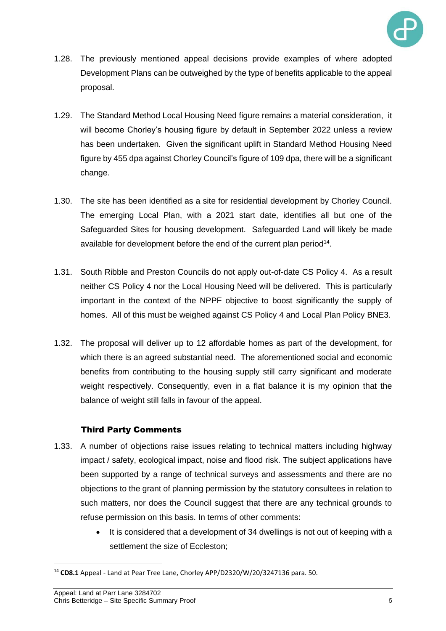

- 1.28. The previously mentioned appeal decisions provide examples of where adopted Development Plans can be outweighed by the type of benefits applicable to the appeal proposal.
- 1.29. The Standard Method Local Housing Need figure remains a material consideration, it will become Chorley's housing figure by default in September 2022 unless a review has been undertaken. Given the significant uplift in Standard Method Housing Need figure by 455 dpa against Chorley Council's figure of 109 dpa, there will be a significant change.
- 1.30. The site has been identified as a site for residential development by Chorley Council. The emerging Local Plan, with a 2021 start date, identifies all but one of the Safeguarded Sites for housing development. Safeguarded Land will likely be made available for development before the end of the current plan period<sup>14</sup>.
- 1.31. South Ribble and Preston Councils do not apply out-of-date CS Policy 4. As a result neither CS Policy 4 nor the Local Housing Need will be delivered. This is particularly important in the context of the NPPF objective to boost significantly the supply of homes. All of this must be weighed against CS Policy 4 and Local Plan Policy BNE3.
- 1.32. The proposal will deliver up to 12 affordable homes as part of the development, for which there is an agreed substantial need. The aforementioned social and economic benefits from contributing to the housing supply still carry significant and moderate weight respectively. Consequently, even in a flat balance it is my opinion that the balance of weight still falls in favour of the appeal.

## Third Party Comments

- 1.33. A number of objections raise issues relating to technical matters including highway impact / safety, ecological impact, noise and flood risk. The subject applications have been supported by a range of technical surveys and assessments and there are no objections to the grant of planning permission by the statutory consultees in relation to such matters, nor does the Council suggest that there are any technical grounds to refuse permission on this basis. In terms of other comments:
	- It is considered that a development of 34 dwellings is not out of keeping with a settlement the size of Eccleston:

<sup>14</sup> **CD8.1** Appeal - Land at Pear Tree Lane, Chorley APP/D2320/W/20/3247136 para. 50.